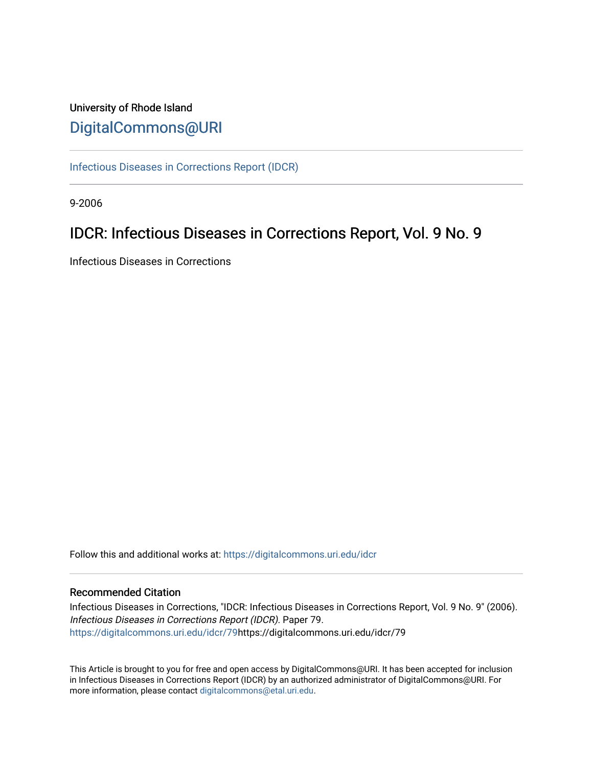# University of Rhode Island [DigitalCommons@URI](https://digitalcommons.uri.edu/)

[Infectious Diseases in Corrections Report \(IDCR\)](https://digitalcommons.uri.edu/idcr)

9-2006

# IDCR: Infectious Diseases in Corrections Report, Vol. 9 No. 9

Infectious Diseases in Corrections

Follow this and additional works at: [https://digitalcommons.uri.edu/idcr](https://digitalcommons.uri.edu/idcr?utm_source=digitalcommons.uri.edu%2Fidcr%2F79&utm_medium=PDF&utm_campaign=PDFCoverPages)

### Recommended Citation

Infectious Diseases in Corrections, "IDCR: Infectious Diseases in Corrections Report, Vol. 9 No. 9" (2006). Infectious Diseases in Corrections Report (IDCR). Paper 79. [https://digitalcommons.uri.edu/idcr/79h](https://digitalcommons.uri.edu/idcr/79?utm_source=digitalcommons.uri.edu%2Fidcr%2F79&utm_medium=PDF&utm_campaign=PDFCoverPages)ttps://digitalcommons.uri.edu/idcr/79

This Article is brought to you for free and open access by DigitalCommons@URI. It has been accepted for inclusion in Infectious Diseases in Corrections Report (IDCR) by an authorized administrator of DigitalCommons@URI. For more information, please contact [digitalcommons@etal.uri.edu.](mailto:digitalcommons@etal.uri.edu)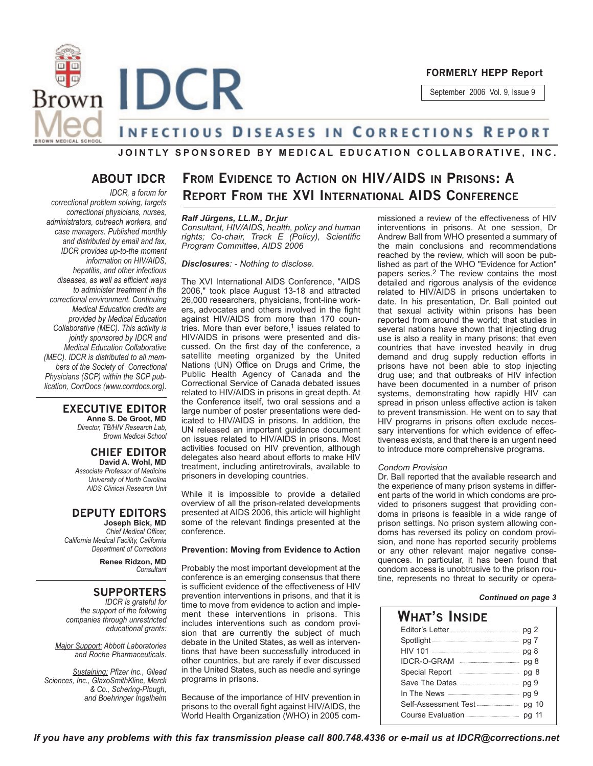

September 2006 Vol. 9, Issue 9

# **INFECTIOUS DISEASES IN CORRECTIONS REPORT**

### **JOINTLY SPONSORED BY MEDICAL EDUCATION COLLABORATIVE, INC.**

### **ABOUT IDCR**

*IDCR, a forum for correctional problem solving, targets correctional physicians, nurses, administrators, outreach workers, and case managers. Published monthly and distributed by email and fax, IDCR provides up-to-the moment information on HIV/AIDS, hepatitis, and other infectious diseases, as well as efficient ways to administer treatment in the correctional environment. Continuing Medical Education credits are provided by Medical Education Collaborative (MEC). This activity is jointly sponsored by IDCR and Medical Education Collaborative (MEC). IDCR is distributed to all members of the Society of Correctional Physicians (SCP) within the SCP publication, CorrDocs (www.corrdocs.org).*

### **EXECUTIVE EDITOR**

**Anne S. De Groot, MD** *Director, TB/HIV Research Lab, Brown Medical School*

**CHIEF EDITOR David A. Wohl, MD** *Associate Professor of Medicine University of North Carolina AIDS Clinical Research Unit*

# **DEPUTY EDITORS**

**Joseph Bick, MD** *Chief Medical Officer, California Medical Facility, California Department of Corrections*

> **Renee Ridzon, MD** *Consultant*

## **SUPPORTERS**

*IDCR is grateful for the support of the following companies through unrestricted educational grants:*

*Major Support: Abbott Laboratories and Roche Pharmaceuticals.* 

*Sustaining: Pfizer Inc., Gilead Sciences, Inc., GlaxoSmithKline, Merck & Co., Schering-Plough, and Boehringer Ingelheim*

# **FROM EVIDENCE TO ACTION ON HIV/AIDS IN PRISONS: A REPORT FROM THE XVI INTERNATIONAL AIDS CONFERENCE**

### *Ralf Jürgens, LL.M., Dr.jur*

*Consultant, HIV/AIDS, health, policy and human rights; Co-chair, Track E (Policy), Scientific Program Committee, AIDS 2006*

#### *Disclosures: - Nothing to disclose.*

The XVI International AIDS Conference, "AIDS 2006," took place August 13-18 and attracted 26,000 researchers, physicians, front-line workers, advocates and others involved in the fight against HIV/AIDS from more than 170 countries. More than ever before, $1$  issues related to HIV/AIDS in prisons were presented and discussed. On the first day of the conference, a satellite meeting organized by the United Nations (UN) Office on Drugs and Crime, the Public Health Agency of Canada and the Correctional Service of Canada debated issues related to HIV/AIDS in prisons in great depth. At the Conference itself, two oral sessions and a large number of poster presentations were dedicated to HIV/AIDS in prisons. In addition, the UN released an important guidance document on issues related to HIV/AIDS in prisons. Most activities focused on HIV prevention, although delegates also heard about efforts to make HIV treatment, including antiretrovirals, available to prisoners in developing countries.

While it is impossible to provide a detailed overview of all the prison-related developments presented at AIDS 2006, this article will highlight some of the relevant findings presented at the conference.

#### **Prevention: Moving from Evidence to Action**

Probably the most important development at the conference is an emerging consensus that there is sufficient evidence of the effectiveness of HIV prevention interventions in prisons, and that it is time to move from evidence to action and implement these interventions in prisons. This includes interventions such as condom provision that are currently the subject of much debate in the United States, as well as interventions that have been successfully introduced in other countries, but are rarely if ever discussed in the United States, such as needle and syringe programs in prisons.

Because of the importance of HIV prevention in prisons to the overall fight against HIV/AIDS, the World Health Organization (WHO) in 2005 commissioned a review of the effectiveness of HIV interventions in prisons. At one session, Dr Andrew Ball from WHO presented a summary of the main conclusions and recommendations reached by the review, which will soon be published as part of the WHO "Evidence for Action" papers series.2 The review contains the most detailed and rigorous analysis of the evidence related to HIV/AIDS in prisons undertaken to date. In his presentation, Dr. Ball pointed out that sexual activity within prisons has been reported from around the world; that studies in several nations have shown that injecting drug use is also a reality in many prisons; that even countries that have invested heavily in drug demand and drug supply reduction efforts in prisons have not been able to stop injecting drug use; and that outbreaks of HIV infection have been documented in a number of prison systems, demonstrating how rapidly HIV can spread in prison unless effective action is taken to prevent transmission. He went on to say that HIV programs in prisons often exclude necessary interventions for which evidence of effectiveness exists, and that there is an urgent need to introduce more comprehensive programs.

#### *Condom Provision*

Dr. Ball reported that the available research and the experience of many prison systems in different parts of the world in which condoms are provided to prisoners suggest that providing condoms in prisons is feasible in a wide range of prison settings. No prison system allowing condoms has reversed its policy on condom provision, and none has reported security problems or any other relevant major negative consequences. In particular, it has been found that condom access is unobtrusive to the prison routine, represents no threat to security or opera-

#### *Continued on page 3*

| What's Inside                                                                                                                                                                                                                                                                                                                                                                                                                                                                                                |       |  |
|--------------------------------------------------------------------------------------------------------------------------------------------------------------------------------------------------------------------------------------------------------------------------------------------------------------------------------------------------------------------------------------------------------------------------------------------------------------------------------------------------------------|-------|--|
|                                                                                                                                                                                                                                                                                                                                                                                                                                                                                                              |       |  |
|                                                                                                                                                                                                                                                                                                                                                                                                                                                                                                              |       |  |
|                                                                                                                                                                                                                                                                                                                                                                                                                                                                                                              |       |  |
| IDCR-O-GRAM<br>$\begin{minipage}{.4\linewidth} \begin{tabular}{l} \hline \multicolumn{3}{l}{} & \multicolumn{3}{l}{} & \multicolumn{3}{l}{} \\ \multicolumn{3}{l}{} & \multicolumn{3}{l}{} & \multicolumn{3}{l}{} \\ \multicolumn{3}{l}{} & \multicolumn{3}{l}{} & \multicolumn{3}{l}{} \\ \multicolumn{3}{l}{} & \multicolumn{3}{l}{} \\ \multicolumn{3}{l}{} & \multicolumn{3}{l}{} \\ \multicolumn{3}{l}{} & \multicolumn{3}{l}{} \\ \multicolumn{3}{l}{} & \multicolumn{3}{l}{} \\ \multicolumn{3}{l}{}$ | pg 8  |  |
| Special Report <b>Election</b> Special Report <b>Election</b> Special Report                                                                                                                                                                                                                                                                                                                                                                                                                                 | pg 8  |  |
|                                                                                                                                                                                                                                                                                                                                                                                                                                                                                                              | pg 9  |  |
|                                                                                                                                                                                                                                                                                                                                                                                                                                                                                                              | pg 9  |  |
| Self-Assessment Test                                                                                                                                                                                                                                                                                                                                                                                                                                                                                         | pg 10 |  |
|                                                                                                                                                                                                                                                                                                                                                                                                                                                                                                              |       |  |
|                                                                                                                                                                                                                                                                                                                                                                                                                                                                                                              |       |  |

*If you have any problems with this fax transmission please call 800.748.4336 or e-mail us at IDCR@corrections.net*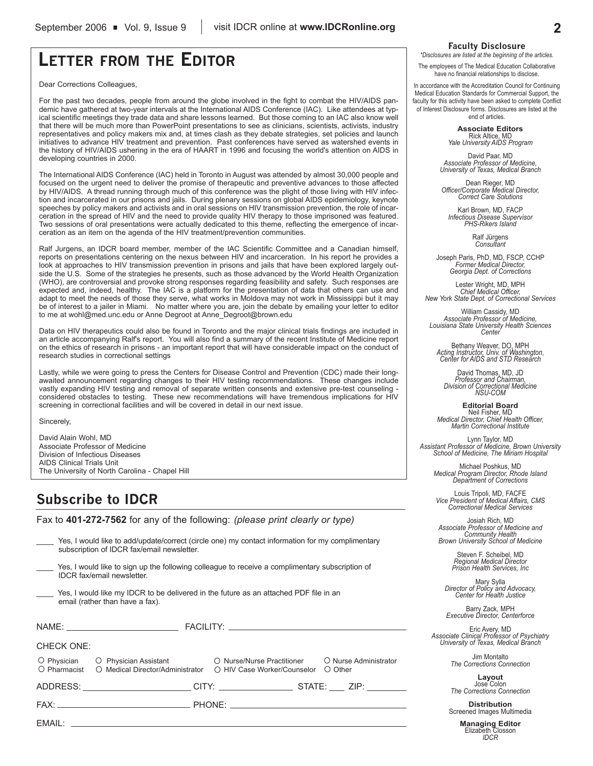# **LETTER FROM THE EDITOR**

Dear Corrections Colleagues,

For the past two decades, people from around the globe involved in the fight to combat the HIV/AIDS pandemic have gathered at two-year intervals at the International AIDS Conference (IAC). Like attendees at typical scientific meetings they trade data and share lessons learned. But those coming to an IAC also know well that there will be much more than PowerPoint presentations to see as clinicians, scientists, activists, industry representatives and policy makers mix and, at times clash as they debate strategies, set policies and launch initiatives to advance HIV treatment and prevention. Past conferences have served as watershed events in the history of HIV/AIDS ushering in the era of HAART in 1996 and focusing the world's attention on AIDS in developing countries in 2000.

The International AIDS Conference (IAC) held in Toronto in August was attended by almost 30,000 people and focused on the urgent need to deliver the promise of therapeutic and preventive advances to those affected by HIV/AIDS. A thread running through much of this conference was the plight of those living with HIV infection and incarcerated in our prisons and jails. During plenary sessions on global AIDS epidemiology, keynote speeches by policy makers and activists and in oral sessions on HIV transmission prevention, the role of incarceration in the spread of HIV and the need to provide quality HIV therapy to those imprisoned was featured. Two sessions of oral presentations were actually dedicated to this theme, reflecting the emergence of incarceration as an item on the agenda of the HIV treatment/prevention communities.

Ralf Jurgens, an IDCR board member, member of the IAC Scientific Committee and a Canadian himself, reports on presentations centering on the nexus between HIV and incarceration. In his report he provides a look at approaches to HIV transmission prevention in prisons and jails that have been explored largely outside the U.S. Some of the strategies he presents, such as those advanced by the World Health Organization (WHO), are controversial and provoke strong responses regarding feasibility and safety. Such responses are expected and, indeed, healthy. The IAC is a platform for the presentation of data that others can use and adapt to meet the needs of those they serve, what works in Moldova may not work in Mississippi but it may be of interest to a jailer in Miami. No matter where you are, join the debate by emailing your letter to editor to me at wohl@med.unc.edu or Anne Degroot at Anne\_Degroot@brown.edu

Data on HIV therapeutics could also be found in Toronto and the major clinical trials findings are included in an article accompanying Ralf's report. You will also find a summary of the recent Institute of Medicine report on the ethics of research in prisons - an important report that will have considerable impact on the conduct of research studies in correctional settings

Lastly, while we were going to press the Centers for Disease Control and Prevention (CDC) made their longawaited announcement regarding changes to their HIV testing recommendations. These changes include vastly expanding HIV testing and removal of separate written consents and extensive pre-test counseling considered obstacles to testing. These new recommendations will have tremendous implications for HIV screening in correctional facilities and will be covered in detail in our next issue.

Sincerely,

David Alain Wohl, MD Associate Professor of Medicine Division of Infectious Diseases AIDS Clinical Trials Unit The University of North Carolina - Chapel Hill

# **Subscribe to IDCR**

Fax to **401-272-7562** for any of the following: *(please print clearly or type)*

Yes, I would like to add/update/correct (circle one) my contact information for my complimentary subscription of IDCR fax/email newsletter. Yes, I would like to sign up the following colleague to receive a complimentary subscription of IDCR fax/email newsletter. Yes, I would like my IDCR to be delivered in the future as an attached PDF file in an email (rather than have a fax).

| <b>CHECK ONE:</b> |                                                                                                                                                                           |  |  |  |  |
|-------------------|---------------------------------------------------------------------------------------------------------------------------------------------------------------------------|--|--|--|--|
|                   | ○ Physician ○ Physician Assistant ○ ○ Nurse/Nurse Practitioner ○ Nurse Administrator<br>○ Pharmacist ○ Medical Director/Administrator ○ HIV Case Worker/Counselor ○ Other |  |  |  |  |
|                   |                                                                                                                                                                           |  |  |  |  |
|                   |                                                                                                                                                                           |  |  |  |  |
|                   |                                                                                                                                                                           |  |  |  |  |

#### **Faculty Disclosure**

*\*Disclosures are listed at the beginning of the articles.*

The employees of The Medical Education Collaborative have no financial relationships to disclose.

In accordance with the Accreditation Council for Continuing Medical Education Standards for Commercial Support, the faculty for this activity have been asked to complete Conflict of Interest Disclosure forms. Disclosures are listed at the end of articles.

> **Associate Editors** Rick Altice, MD *Yale University AIDS Program*

David Paar, MD *Associate Professor of Medicine, University of Texas, Medical Branch*

Dean Rieger, MD *Officer/Corporate Medical Director, Correct Care Solutions*

Karl Brown, MD, FACP *Infectious Disease Supervisor PHS-Rikers Island*

Ralf Jürgens *Consultant*

Joseph Paris, PhD, MD, FSCP, CCHP *Former Medical Director, Georgia Dept. of Corrections*

Lester Wright, MD, MPH *Chief Medical Officer, New York State Dept. of Correctional Services*

William Cassidy, MD *Associate Professor of Medicine, Louisiana State University Health Sciences Center*

Bethany Weaver, DO, MPH *Acting Instructor, Univ. of Washington, Center for AIDS and STD Research*

David Thomas, MD, JD *Professor and Chairman, Division of Correctional Medicine NSU-COM*

**Editorial Board** Neil Fisher, MD *Medical Director, Chief Health Officer, Martin Correctional Institute*

Lynn Taylor, MD *Assistant Professor of Medicine, Brown University School of Medicine, The Miriam Hospital*

Michael Poshkus, MD *Medical Program Director, Rhode Island Department of Corrections*

Louis Tripoli, MD, FACFE *Vice President of Medical Affairs, CMS Correctional Medical Services*

Josiah Rich, MD *Associate Professor of Medicine and Community Health Brown University School of Medicine*

> Steven F. Scheibel, MD *Regional Medical Director Prison Health Services, Inc*

Mary Sylla *Director of Policy and Advocacy, Center for Health Justice*

Barry Zack, MPH *Executive Director, Centerforce*

Eric Avery, MD *Associate Clinical Professor of Psychiatry University of Texas, Medical Branch*

Jim Montalto *The Corrections Connection*

**Layout** Jose Colon *The Corrections Connection*

**Distribution** Screened Images Multimedia

> **Managing Editor** Elizabeth Closson *IDCR*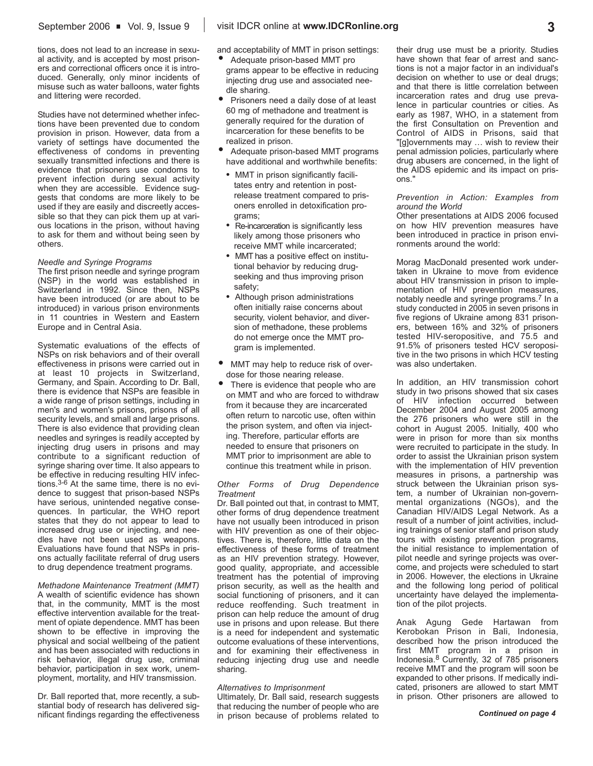tions, does not lead to an increase in sexual activity, and is accepted by most prisoners and correctional officers once it is introduced. Generally, only minor incidents of misuse such as water balloons, water fights and littering were recorded.

Studies have not determined whether infections have been prevented due to condom provision in prison. However, data from a variety of settings have documented the effectiveness of condoms in preventing sexually transmitted infections and there is evidence that prisoners use condoms to prevent infection during sexual activity when they are accessible. Evidence suggests that condoms are more likely to be used if they are easily and discreetly accessible so that they can pick them up at various locations in the prison, without having to ask for them and without being seen by others.

#### *Needle and Syringe Programs*

The first prison needle and syringe program (NSP) in the world was established in Switzerland in 1992. Since then, NSPs have been introduced (or are about to be introduced) in various prison environments in 11 countries in Western and Eastern Europe and in Central Asia.

Systematic evaluations of the effects of NSPs on risk behaviors and of their overall effectiveness in prisons were carried out in at least 10 projects in Switzerland, Germany, and Spain. According to Dr. Ball, there is evidence that NSPs are feasible in a wide range of prison settings, including in men's and women's prisons, prisons of all security levels, and small and large prisons. There is also evidence that providing clean needles and syringes is readily accepted by injecting drug users in prisons and may contribute to a significant reduction of syringe sharing over time. It also appears to be effective in reducing resulting HIV infections.3-6 At the same time, there is no evidence to suggest that prison-based NSPs have serious, unintended negative consequences. In particular, the WHO report states that they do not appear to lead to increased drug use or injecting, and needles have not been used as weapons. Evaluations have found that NSPs in prisons actually facilitate referral of drug users to drug dependence treatment programs.

*Methadone Maintenance Treatment (MMT)* A wealth of scientific evidence has shown that, in the community, MMT is the most effective intervention available for the treatment of opiate dependence. MMT has been shown to be effective in improving the physical and social wellbeing of the patient and has been associated with reductions in risk behavior, illegal drug use, criminal behavior, participation in sex work, unemployment, mortality, and HIV transmission.

Dr. Ball reported that, more recently, a substantial body of research has delivered significant findings regarding the effectiveness and acceptability of MMT in prison settings:

- Adequate prison-based MMT pro grams appear to be effective in reducing injecting drug use and associated needle sharing.
- Prisoners need a daily dose of at least 60 mg of methadone and treatment is generally required for the duration of incarceration for these benefits to be realized in prison.
- Adequate prison-based MMT programs have additional and worthwhile benefits:
- MMT in prison significantly facilitates entry and retention in postrelease treatment compared to prisoners enrolled in detoxification programs;
- Re-incarceration is significantly less likely among those prisoners who receive MMT while incarcerated;
- MMT has a positive effect on institutional behavior by reducing drugseeking and thus improving prison safety;
- Although prison administrations often initially raise concerns about security, violent behavior, and diversion of methadone, these problems do not emerge once the MMT program is implemented.
- MMT may help to reduce risk of overdose for those nearing release.
- There is evidence that people who are on MMT and who are forced to withdraw from it because they are incarcerated often return to narcotic use, often within the prison system, and often via injecting. Therefore, particular efforts are needed to ensure that prisoners on MMT prior to imprisonment are able to continue this treatment while in prison.

#### *Other Forms of Drug Dependence Treatment*

Dr. Ball pointed out that, in contrast to MMT, other forms of drug dependence treatment have not usually been introduced in prison with HIV prevention as one of their objectives. There is, therefore, little data on the effectiveness of these forms of treatment as an HIV prevention strategy. However, good quality, appropriate, and accessible treatment has the potential of improving prison security, as well as the health and social functioning of prisoners, and it can reduce reoffending. Such treatment in prison can help reduce the amount of drug use in prisons and upon release. But there is a need for independent and systematic outcome evaluations of these interventions, and for examining their effectiveness in reducing injecting drug use and needle sharing.

#### *Alternatives to Imprisonment*

Ultimately, Dr. Ball said, research suggests that reducing the number of people who are in prison because of problems related to their drug use must be a priority. Studies have shown that fear of arrest and sanctions is not a major factor in an individual's decision on whether to use or deal drugs; and that there is little correlation between incarceration rates and drug use prevalence in particular countries or cities. As early as 1987, WHO, in a statement from the first Consultation on Prevention and Control of AIDS in Prisons, said that "[g]overnments may … wish to review their penal admission policies, particularly where drug abusers are concerned, in the light of the AIDS epidemic and its impact on prisons."

*Prevention in Action: Examples from around the World*

Other presentations at AIDS 2006 focused on how HIV prevention measures have been introduced in practice in prison environments around the world:

Morag MacDonald presented work undertaken in Ukraine to move from evidence about HIV transmission in prison to implementation of HIV prevention measures, notably needle and syringe programs.7 In a study conducted in 2005 in seven prisons in five regions of Ukraine among 831 prisoners, between 16% and 32% of prisoners tested HIV-seropositive, and 75.5 and 91.5% of prisoners tested HCV seropositive in the two prisons in which HCV testing was also undertaken.

In addition, an HIV transmission cohort study in two prisons showed that six cases of HIV infection occurred between December 2004 and August 2005 among the 276 prisoners who were still in the cohort in August 2005. Initially, 400 who were in prison for more than six months were recruited to participate in the study. In order to assist the Ukrainian prison system with the implementation of HIV prevention measures in prisons, a partnership was struck between the Ukrainian prison system, a number of Ukrainian non-governmental organizations (NGOs), and the Canadian HIV/AIDS Legal Network. As a result of a number of joint activities, including trainings of senior staff and prison study tours with existing prevention programs, the initial resistance to implementation of pilot needle and syringe projects was overcome, and projects were scheduled to start in 2006. However, the elections in Ukraine and the following long period of political uncertainty have delayed the implementation of the pilot projects.

Anak Agung Gede Hartawan from Kerobokan Prison in Bali, Indonesia, described how the prison introduced the first MMT program in a prison in Indonesia.8 Currently, 32 of 785 prisoners receive MMT and the program will soon be expanded to other prisons. If medically indicated, prisoners are allowed to start MMT in prison. Other prisoners are allowed to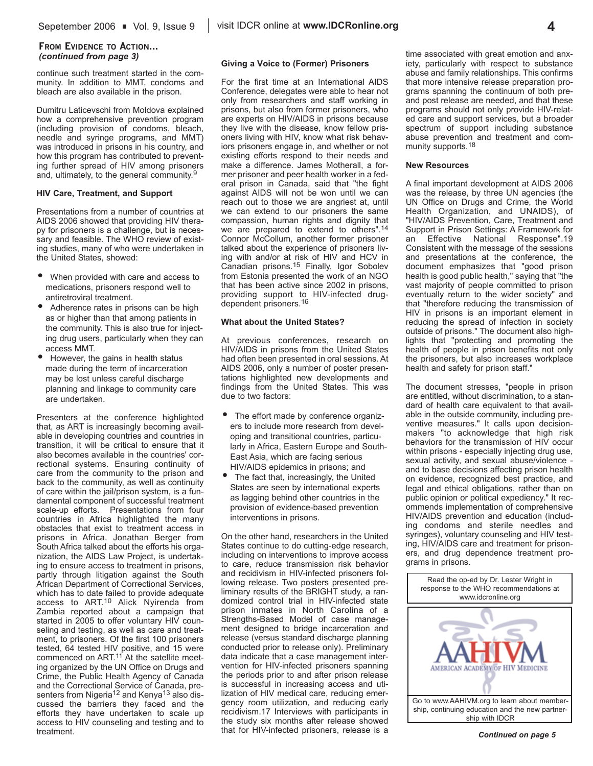### **FROM EVIDENCE TO ACTION...** *(continued from page 3)*

continue such treatment started in the community. In addition to MMT, condoms and bleach are also available in the prison.

Dumitru Laticevschi from Moldova explained how a comprehensive prevention program (including provision of condoms, bleach, needle and syringe programs, and MMT) was introduced in prisons in his country, and how this program has contributed to preventing further spread of HIV among prisoners and, ultimately, to the general community.<sup>9</sup>

#### **HIV Care, Treatment, and Support**

Presentations from a number of countries at AIDS 2006 showed that providing HIV therapy for prisoners is a challenge, but is necessary and feasible. The WHO review of existing studies, many of who were undertaken in the United States, showed:

- When provided with care and access to medications, prisoners respond well to antiretroviral treatment.
- Adherence rates in prisons can be high as or higher than that among patients in the community. This is also true for injecting drug users, particularly when they can access MMT.
- However, the gains in health status made during the term of incarceration may be lost unless careful discharge planning and linkage to community care are undertaken.

Presenters at the conference highlighted that, as ART is increasingly becoming available in developing countries and countries in transition, it will be critical to ensure that it also becomes available in the countries' correctional systems. Ensuring continuity of care from the community to the prison and back to the community, as well as continuity of care within the jail/prison system, is a fundamental component of successful treatment scale-up efforts. Presentations from four countries in Africa highlighted the many obstacles that exist to treatment access in prisons in Africa. Jonathan Berger from South Africa talked about the efforts his organization, the AIDS Law Project, is undertaking to ensure access to treatment in prisons, partly through litigation against the South African Department of Correctional Services, which has to date failed to provide adequate access to ART.10 Alick Nyirenda from Zambia reported about a campaign that started in 2005 to offer voluntary HIV counseling and testing, as well as care and treatment, to prisoners. Of the first 100 prisoners tested, 64 tested HIV positive, and 15 were commenced on ART.11 At the satellite meeting organized by the UN Office on Drugs and Crime, the Public Health Agency of Canada and the Correctional Service of Canada, presenters from Nigeria<sup>12</sup> and Kenya<sup>13</sup> also discussed the barriers they faced and the efforts they have undertaken to scale up access to HIV counseling and testing and to treatment.

#### **Giving a Voice to (Former) Prisoners**

For the first time at an International AIDS Conference, delegates were able to hear not only from researchers and staff working in prisons, but also from former prisoners, who are experts on HIV/AIDS in prisons because they live with the disease, know fellow prisoners living with HIV, know what risk behaviors prisoners engage in, and whether or not existing efforts respond to their needs and make a difference. James Motherall, a former prisoner and peer health worker in a federal prison in Canada, said that "the fight against AIDS will not be won until we can reach out to those we are angriest at, until we can extend to our prisoners the same compassion, human rights and dignity that we are prepared to extend to others".<sup>14</sup> Connor McCollum, another former prisoner talked about the experience of prisoners living with and/or at risk of HIV and HCV in Canadian prisons.15 Finally, Igor Sobolev from Estonia presented the work of an NGO that has been active since 2002 in prisons, providing support to HIV-infected drugdependent prisoners.16

#### **What about the United States?**

At previous conferences, research on HIV/AIDS in prisons from the United States had often been presented in oral sessions. At AIDS 2006, only a number of poster presentations highlighted new developments and findings from the United States. This was due to two factors:

- The effort made by conference organizers to include more research from developing and transitional countries, particularly in Africa, Eastern Europe and South-East Asia, which are facing serious HIV/AIDS epidemics in prisons; and
- The fact that, increasingly, the United States are seen by international experts as lagging behind other countries in the provision of evidence-based prevention interventions in prisons.

On the other hand, researchers in the United States continue to do cutting-edge research, including on interventions to improve access to care, reduce transmission risk behavior and recidivism in HIV-infected prisoners following release. Two posters presented preliminary results of the BRIGHT study, a randomized control trial in HIV-infected state prison inmates in North Carolina of a Strengths-Based Model of case management designed to bridge incarceration and release (versus standard discharge planning conducted prior to release only). Preliminary data indicate that a case management intervention for HIV-infected prisoners spanning the periods prior to and after prison release is successful in increasing access and utilization of HIV medical care, reducing emergency room utilization, and reducing early recidivism.17 Interviews with participants in the study six months after release showed that for HIV-infected prisoners, release is a time associated with great emotion and anxiety, particularly with respect to substance abuse and family relationships. This confirms that more intensive release preparation programs spanning the continuum of both preand post release are needed, and that these programs should not only provide HIV-related care and support services, but a broader spectrum of support including substance abuse prevention and treatment and community supports.18

#### **New Resources**

A final important development at AIDS 2006 was the release, by three UN agencies (the UN Office on Drugs and Crime, the World Health Organization, and UNAIDS), of "HIV/AIDS Prevention, Care, Treatment and Support in Prison Settings: A Framework for an Effective National Response".19 Consistent with the message of the sessions and presentations at the conference, the document emphasizes that "good prison health is good public health," saying that "the vast majority of people committed to prison eventually return to the wider society" and that "therefore reducing the transmission of HIV in prisons is an important element in reducing the spread of infection in society outside of prisons." The document also highlights that "protecting and promoting the health of people in prison benefits not only the prisoners, but also increases workplace health and safety for prison staff."

The document stresses, "people in prison are entitled, without discrimination, to a standard of health care equivalent to that available in the outside community, including preventive measures." It calls upon decisionmakers "to acknowledge that high risk behaviors for the transmission of HIV occur within prisons - especially injecting drug use, sexual activity, and sexual abuse/violence and to base decisions affecting prison health on evidence, recognized best practice, and legal and ethical obligations, rather than on public opinion or political expediency." It recommends implementation of comprehensive HIV/AIDS prevention and education (including condoms and sterile needles and syringes), voluntary counseling and HIV testing, HIV/AIDS care and treatment for prisoners, and drug dependence treatment programs in prisons.

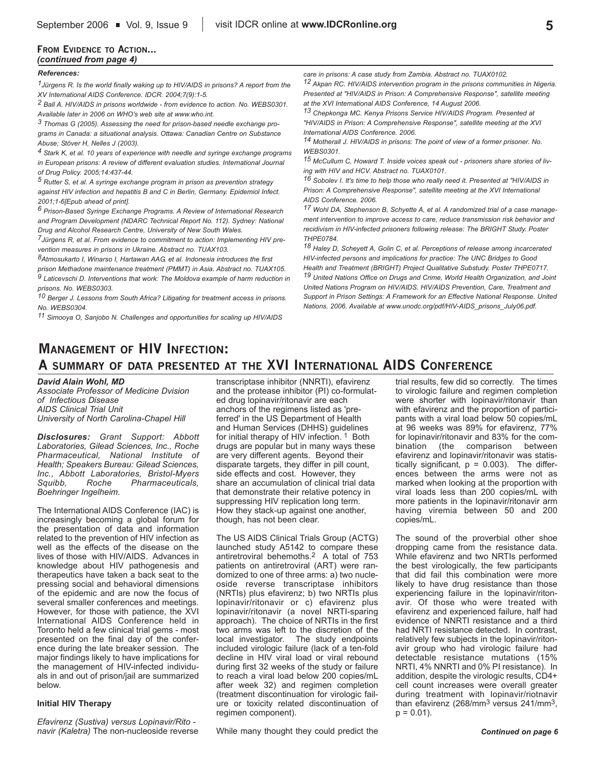### **FROM EVIDENCE TO ACTION...** *(continued from page 4)*

#### *References:*

*1Jürgens R. Is the world finally waking up to HIV/AIDS in prisons? A report from the XV International AIDS Conference. IDCR. 2004;7(9):1-5.*

*2 Ball A. HIV/AIDS in prisons worldwide - from evidence to action. No. WEBS0301. Available later in 2006 on WHO's web site at www.who.int.*

*3 Thomas G (2005). Assessing the need for prison-based needle exchange programs in Canada: a situational analysis. Ottawa: Canadian Centre on Substance Abuse; Stöver H, Nelles J (2003).* 

*4 Stark K, et al. 10 years of experience with needle and syringe exchange programs in European prisons: A review of different evaluation studies. International Journal of Drug Policy. 2005;14:437-44.* 

*5 Rutter S, et al. A syringe exchange program in prison as prevention strategy against HIV infection and hepatitis B and C in Berlin, Germany. Epidemiol Infect. 2001;1-6[Epub ahead of print].* 

*6 Prison-Based Syringe Exchange Programs. A Review of International Research and Program Development (NDARC Technical Report No. 112). Sydney: National Drug and Alcohol Research Centre, University of New South Wales.*

*7Jürgens R, et al. From evidence to commitment to action: Implementing HIV prevention measures in prisons in Ukraine. Abstract no. TUAX103.*

*8Atmosukarto I, Winarso I, Hartawan AAG, et al. Indonesia introduces the first prison Methadone maintenance treatment (PMMT) in Asia. Abstract no. TUAX105.*

*9 Laticevschi D. Interventions that work: The Moldova example of harm reduction in prisons. No. WEBS0303.*

*10 Berger J. Lessons from South Africa? Litigating for treatment access in prisons. No. WEBS0304.*

*11 Simooya O, Sanjobo N. Challenges and opportunities for scaling up HIV/AIDS*

*care in prisons: A case study from Zambia. Abstract no. TUAX0102.*

*12 Akpan RC. HIV/AIDS intervention program in the prisons communities in Nigeria. Presented at "HIV/AIDS in Prison: A Comprehensive Response", satellite meeting at the XVI International AIDS Conference, 14 August 2006.*

*13 Chepkonga MC. Kenya Prisons Service HIV/AIDS Program. Presented at "HIV/AIDS in Prison: A Comprehensive Response", satellite meeting at the XVI International AIDS Conference. 2006.*

*14 Motherall J. HIV/AIDS in prisons: The point of view of a former prisoner. No. WEBS0301.*

*15 McCullum C, Howard T. Inside voices speak out - prisoners share stories of living with HIV and HCV. Abstract no. TUAX0101.*

*16 Sobolev I. It's time to help those who really need it. Presented at "HIV/AIDS in Prison: A Comprehensive Response", satellite meeting at the XVI International AIDS Conference. 2006.*

*17 Wohl DA, Stephenson B, Schyette A, et al. A randomized trial of a case management intervention to improve access to care, reduce transmission risk behavior and recidivism in HIV-infected prisoners following release: The BRIGHT Study. Poster THPE0784.*

*18 Haley D, Scheyett A, Golin C, et al. Perceptions of release among incarcerated HIV-infected persons and implications for practice: The UNC Bridges to Good Health and Treatment (BRIGHT) Project Qualitative Substudy. Poster THPE0717. 19 United Nations Office on Drugs and Crime, World Health Organization, and Joint United Nations Program on HIV/AIDS. HIV/AIDS Prevention, Care, Treatment and Support in Prison Settings: A Framework for an Effective National Response. United Nations. 2006. Available at www.unodc.org/pdf/HIV-AIDS\_prisons\_July06.pdf.*

# **MANAGEMENT OF HIV INFECTION: A SUMMARY OF DATA PRESENTED AT THE XVI INTERNATIONAL AIDS CONFERENCE**

*David Alain Wohl, MD*

*Associate Professor of Medicine Dvision of Infectious Disease AIDS Clinical Trial Unit University of North Carolina-Chapel Hill*

*Disclosures: Grant Support: Abbott Laboratories, Gilead Sciences, Inc., Roche Pharmaceutical, National Institute of Health; Speakers Bureau: Gilead Sciences, Inc., Abbott Laboratories, Bristol-Myers Squibb, Roche Pharmaceuticals, Boehringer Ingelheim.* 

The International AIDS Conference (IAC) is increasingly becoming a global forum for the presentation of data and information related to the prevention of HIV infection as well as the effects of the disease on the lives of those with HIV/AIDS. Advances in knowledge about HIV pathogenesis and therapeutics have taken a back seat to the pressing social and behavioral dimensions of the epidemic and are now the focus of several smaller conferences and meetings. However, for those with patience, the XVI International AIDS Conference held in Toronto held a few clinical trial gems - most presented on the final day of the conference during the late breaker session. The major findings likely to have implications for the management of HIV-infected individuals in and out of prison/jail are summarized below.

#### **Initial HIV Therapy**

*Efavirenz (Sustiva) versus Lopinavir/Rito navir (Kaletra)* The non-nucleoside reverse transcriptase inhibitor (NNRTI), efavirenz and the protease inhibitor (PI) co-formulated drug lopinavir/ritonavir are each anchors of the regimens listed as 'preferred' in the US Department of Health and Human Services (DHHS) guidelines for initial therapy of HIV infection. <sup>1</sup> Both drugs are popular but in many ways these are very different agents. Beyond their disparate targets, they differ in pill count, side effects and cost. However, they share an accumulation of clinical trial data that demonstrate their relative potency in suppressing HIV replication long term. How they stack-up against one another, though, has not been clear.

The US AIDS Clinical Trials Group (ACTG) launched study A5142 to compare these antiretroviral behemoths.2 A total of 753 patients on antiretroviral (ART) were randomized to one of three arms: a) two nucleoside reverse transcriptase inhibitors (NRTIs) plus efavirenz; b) two NRTIs plus lopinavir/ritonavir or c) efavirenz plus lopinavir/ritonavir (a novel NRTI-sparing approach). The choice of NRTIs in the first two arms was left to the discretion of the local investigator. The study endpoints included virologic failure (lack of a ten-fold decline in HIV viral load or viral rebound during first 32 weeks of the study or failure to reach a viral load below 200 copies/mL after week 32) and regimen completion (treatment discontinuation for virologic failure or toxicity related discontinuation of regimen component).

While many thought they could predict the

trial results, few did so correctly. The times to virologic failure and regimen completion were shorter with lopinavir/ritonavir than with efavirenz and the proportion of participants with a viral load below 50 copies/mL at 96 weeks was 89% for efavirenz, 77% for lopinavir/ritonavir and 83% for the combination (the comparison between efavirenz and lopinavir/ritonavir was statistically significant,  $p = 0.003$ ). The differences between the arms were not as marked when looking at the proportion with viral loads less than 200 copies/mL with more patients in the lopinavir/ritonavir arm having viremia between 50 and 200 copies/mL.

The sound of the proverbial other shoe dropping came from the resistance data. While efavirenz and two NRTIs performed the best virologically, the few participants that did fail this combination were more likely to have drug resistance than those experiencing failure in the lopinavir/ritonavir. Of those who were treated with efavirenz and experienced failure, half had evidence of NNRTI resistance and a third had NRTI resistance detected. In contrast, relatively few subjects in the lopinavir/ritonavir group who had virologic failure had detectable resistance mutations (15% NRTI, 4% NNRTI and 0% PI resistance). In addition, despite the virologic results, CD4+ cell count increases were overall greater during treatment with lopinavir/riotnavir than efavirenz (268/mm3 versus 241/mm3,  $p = 0.01$ ).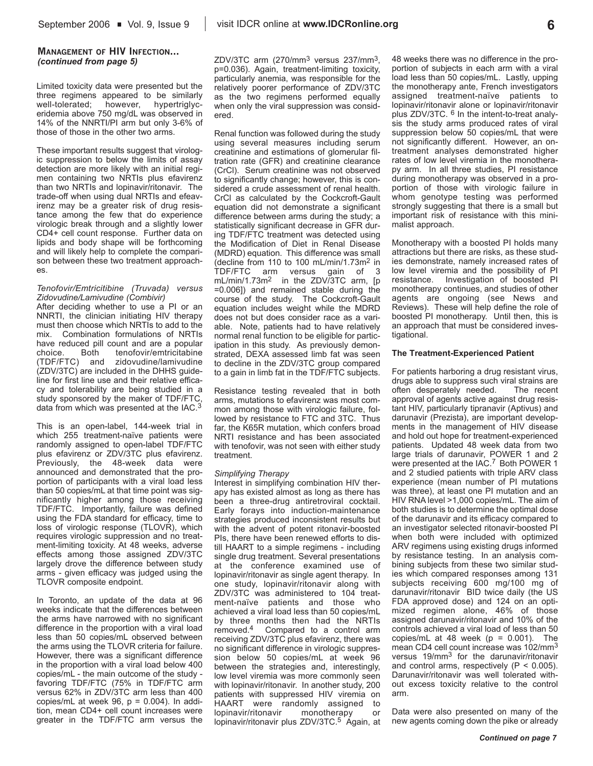### **MANAGEMENT OF HIV INFECTION...** *(continued from page 5)*

Limited toxicity data were presented but the three regimens appeared to be similarly well-tolerated; however, hypertriglyceridemia above 750 mg/dL was observed in 14% of the NNRTI/PI arm but only 3-6% of those of those in the other two arms.

These important results suggest that virologic suppression to below the limits of assay detection are more likely with an initial regimen containing two NRTIs plus efavirenz than two NRTIs and lopinavir/ritonavir. The trade-off when using dual NRTIs and efeavirenz may be a greater risk of drug resistance among the few that do experience virologic break through and a slightly lower CD4+ cell count response. Further data on lipids and body shape will be forthcoming and will likely help to complete the comparison between these two treatment approaches.

#### *Tenofovir/Emtricitibine (Truvada) versus Zidovudine/Lamivudine (Combivir)*

After deciding whether to use a PI or an NNRTI, the clinician initiating HIV therapy must then choose which NRTIs to add to the mix. Combination formulations of NRTIs have reduced pill count and are a popular choice. Both tenofovir/emtricitabine (TDF/FTC) and zidovudine/lamivudine (ZDV/3TC) are included in the DHHS guideline for first line use and their relative efficacy and tolerability are being studied in a study sponsored by the maker of TDF/FTC, data from which was presented at the IAC.<sup>3</sup>

This is an open-label, 144-week trial in which 255 treatment-naïve patients were randomly assigned to open-label TDF/FTC plus efavirenz or ZDV/3TC plus efavirenz. Previously, the 48-week data were announced and demonstrated that the proportion of participants with a viral load less than 50 copies/mL at that time point was significantly higher among those receiving TDF/FTC. Importantly, failure was defined using the FDA standard for efficacy, time to loss of virologic response (TLOVR), which requires virologic suppression and no treatment-limiting toxicity. At 48 weeks, adverse effects among those assigned ZDV/3TC largely drove the difference between study arms - given efficacy was judged using the TLOVR composite endpoint.

In Toronto, an update of the data at 96 weeks indicate that the differences between the arms have narrowed with no significant difference in the proportion with a viral load less than 50 copies/mL observed between the arms using the TLOVR criteria for failure. However, there was a significant difference in the proportion with a viral load below 400 copies/mL - the main outcome of the study favoring TDF/FTC (75% in TDF/FTC arm versus 62% in ZDV/3TC arm less than 400 copies/mL at week  $96$ ,  $p = 0.004$ ). In addition, mean CD4+ cell count increases were greater in the TDF/FTC arm versus the

ZDV/3TC arm (270/mm3 versus 237/mm3, p=0.036). Again, treatment-limiting toxicity, particularly anemia, was responsible for the relatively poorer performance of ZDV/3TC as the two regimens performed equally when only the viral suppression was considered.

Renal function was followed during the study using several measures including serum creatinine and estimations of glomerular filtration rate (GFR) and creatinine clearance (CrCl). Serum creatinine was not observed to significantly change; however, this is considered a crude assessment of renal health. CrCl as calculated by the Cockcroft-Gault equation did not demonstrate a significant difference between arms during the study; a statistically significant decrease in GFR during TDF/FTC treatment was detected using the Modification of Diet in Renal Disease (MDRD) equation. This difference was small (decline from 110 to 100 mL/min/1.73m2 in TDF/FTC arm versus gain of 3 mL/min/1.73m2 in the ZDV/3TC arm, [p =0.006]) and remained stable during the course of the study. The Cockcroft-Gault equation includes weight while the MDRD does not but does consider race as a variable. Note, patients had to have relatively normal renal function to be eligible for participation in this study. As previously demonstrated, DEXA assessed limb fat was seen to decline in the ZDV/3TC group compared to a gain in limb fat in the TDF/FTC subjects.

Resistance testing revealed that in both arms, mutations to efavirenz was most common among those with virologic failure, followed by resistance to FTC and 3TC. Thus far, the K65R mutation, which confers broad NRTI resistance and has been associated with tenofovir, was not seen with either study treatment.

#### *Simplifying Therapy*

Interest in simplifying combination HIV therapy has existed almost as long as there has been a three-drug antiretroviral cocktail. Early forays into induction-maintenance strategies produced inconsistent results but with the advent of potent ritonavir-boosted PIs, there have been renewed efforts to distill HAART to a simple regimens - including single drug treatment. Several presentations at the conference examined use of lopinavir/ritonavir as single agent therapy. In one study, lopinavir/ritonavir along with ZDV/3TC was administered to 104 treatment-naïve patients and those who achieved a viral load less than 50 copies/mL by three months then had the NRTIs removed.4 Compared to a control arm receiving ZDV/3TC plus efavirenz, there was no significant difference in virologic suppression below 50 copies/mL at week 96 between the strategies and, interestingly, low level viremia was more commonly seen with lopinavir/ritonavir. In another study, 200 patients with suppressed HIV viremia on HAART were randomly assigned to lopinavir/ritonavir monotherapy or lopinavir/ritonavir plus ZDV/3TC.5 Again, at 48 weeks there was no difference in the proportion of subjects in each arm with a viral load less than 50 copies/mL. Lastly, upping the monotherapy ante, French investigators assigned treatment-naïve patients to lopinavir/ritonavir alone or lopinavir/ritonavir plus ZDV/3TC. 6 In the intent-to-treat analysis the study arms produced rates of viral suppression below 50 copies/mL that were not significantly different. However, an ontreatment analyses demonstrated higher rates of low level viremia in the monotherapy arm. In all three studies, PI resistance during monotherapy was observed in a proportion of those with virologic failure in whom genotype testing was performed strongly suggesting that there is a small but important risk of resistance with this minimalist approach.

Monotherapy with a boosted PI holds many attractions but there are risks, as these studies demonstrate, namely increased rates of low level viremia and the possibility of PI resistance. Investigation of boosted PI monotherapy continues, and studies of other agents are ongoing (see News and Reviews). These will help define the role of boosted PI monotherapy. Until then, this is an approach that must be considered investigational.

#### **The Treatment-Experienced Patient**

For patients harboring a drug resistant virus, drugs able to suppress such viral strains are often desperately needed. The recent approval of agents active against drug resistant HIV, particularly tipranavir (Aptivus) and darunavir (Prezista), are important developments in the management of HIV disease and hold out hope for treatment-experienced patients. Updated 48 week data from two large trials of darunavir, POWER 1 and 2 were presented at the IAC.<sup>7</sup> Both POWER 1 and 2 studied patients with triple ARV class experience (mean number of PI mutations was three), at least one PI mutation and an HIV RNA level >1,000 copies/mL. The aim of both studies is to determine the optimal dose of the darunavir and its efficacy compared to an investigator selected ritonavir-boosted PI when both were included with optimized ARV regimens using existing drugs informed by resistance testing. In an analysis combining subjects from these two similar studies which compared responses among 131 subjects receiving 600 mg/100 mg of darunavir/ritonavir BID twice daily (the US FDA approved dose) and 124 on an optimized regimen alone, 46% of those assigned darunavir/ritonavir and 10% of the controls achieved a viral load of less than 50 copies/mL at 48 week ( $p = 0.001$ ). The mean CD4 cell count increase was 102/mm3 versus 19/mm3 for the darunavir/ritonavir and control arms, respectively  $(P < 0.005)$ . Darunavir/ritonavir was well tolerated without excess toxicity relative to the control arm.

Data were also presented on many of the new agents coming down the pike or already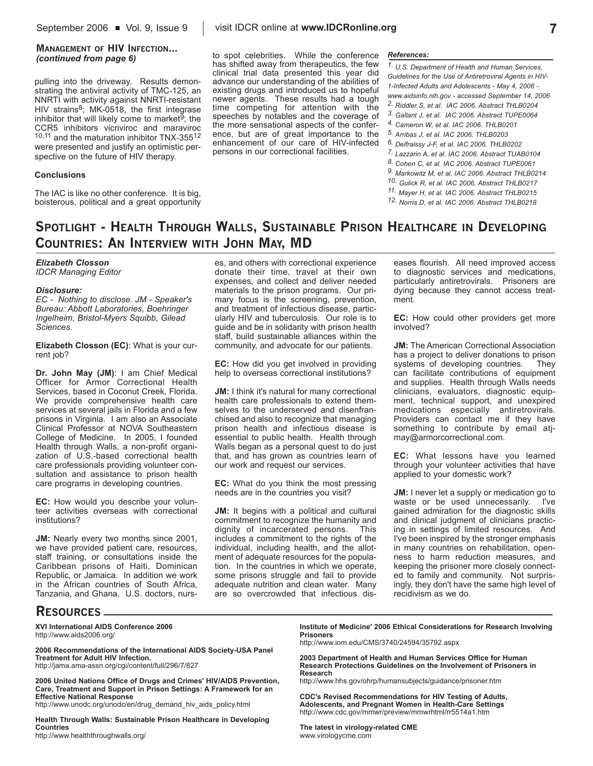# **MANAGEMENT OF HIV INFECTION...**

pulling into the driveway. Results demonstrating the antiviral activity of TMC-125, an NNRTI with activity against NNRTI-resistant HIV strains $8$ ; MK-0518, the first integrase inhibitor that will likely come to market $\overline{9}$ ; the CCR5 inhibitors vicriviroc and maraviroc 10,11 and the maturation inhibitor TNX-35512 were presented and justify an optimistic perspective on the future of HIV therapy.

#### **Conclusions**

The IAC is like no other conference. It is big, boisterous, political and a great opportunity

**(continued from page 6)** *References:*<br> *References:*<br> *References:* has shifted away from therapeutics, the few clinical trial data presented this year did advance our understanding of the abilities of existing drugs and introduced us to hopeful newer agents. These results had a tough time competing for attention with the speeches by notables and the coverage of the more sensational aspects of the conference, but are of great importance to the enhancement of our care of HIV-infected persons in our correctional facilities.

*1. U.S. Department of Health and Human Services, Guidelines for the Use of Antiretroviral Agents in HIV-1-Infected Adults and Adolescents - May 4, 2006 www.aidsinfo.nih.gov - accessed September 14, 2006 2. Riddler S, et al. IAC 2006. Abstract THLB0204 3. Gallant J, et al. IAC 2006. Abstract TUPE0064 4. Cameron W, et al. IAC 2006. THLB0201 5. Arribas J, et al. IAC 2006. THLB0203 6. Delfraissy J-F, et al. IAC 2006. THLB0202 7. Lazzarin A, et al. IAC 2006. Abstract TUAB0104 8. Cohen C, et al. IAC 2006. Abstract TUPE0061 9. Markowitz M, et al. IAC 2006. Abstract THLB0214 10. Gulick R, et al. IAC 2006. Abstract THLB0217 11. Mayer H, et al. IAC 2006. Abstract THLB0215 12. Norris D, et al. IAC 2006. Abstract THLB0218*

# **SPOTLIGHT - HEALTH THROUGH WALLS, SUSTAINABLE PRISON HEALTHCARE IN DEVELOPING COUNTRIES: AN INTERVIEW WITH JOHN MAY, MD**

*Elizabeth Closson IDCR Managing Editor* 

#### *Disclosure:*

*EC - Nothing to disclose. JM - Speaker's Bureau: Abbott Laboratories, Boehringer Ingelheim, Bristol-Myers Squibb, Gilead Sciences.* 

**Elizabeth Closson (EC)**: What is your current job?

**Dr. John May (JM)**: I am Chief Medical Officer for Armor Correctional Health Services, based in Coconut Creek, Florida. We provide comprehensive health care services at several jails in Florida and a few prisons in Virginia. I am also an Associate Clinical Professor at NOVA Southeastern College of Medicine. In 2005, I founded Health through Walls, a non-profit organization of U.S.-based correctional health care professionals providing volunteer consultation and assistance to prison health care programs in developing countries.

**EC:** How would you describe your volunteer activities overseas with correctional institutions?

**JM:** Nearly every two months since 2001, we have provided patient care, resources, staff training, or consultations inside the Caribbean prisons of Haiti, Dominican Republic, or Jamaica. In addition we work in the African countries of South Africa, Tanzania, and Ghana. U.S. doctors, nurs-

es, and others with correctional experience donate their time, travel at their own expenses, and collect and deliver needed materials to the prison programs. Our primary focus is the screening, prevention, and treatment of infectious disease, particularly HIV and tuberculosis. Our role is to guide and be in solidarity with prison health staff, build sustainable alliances within the community, and advocate for our patients.

**EC:** How did you get involved in providing help to overseas correctional institutions?

**JM:** I think it's natural for many correctional health care professionals to extend themselves to the underserved and disenfranchised and also to recognize that managing prison health and infectious disease is essential to public health. Health through Walls began as a personal quest to do just that, and has grown as countries learn of our work and request our services.

**EC:** What do you think the most pressing needs are in the countries you visit?

**JM:** It begins with a political and cultural commitment to recognize the humanity and dignity of incarcerated persons. This includes a commitment to the rights of the individual, including health, and the allotment of adequate resources for the population. In the countries in which we operate, some prisons struggle and fail to provide adequate nutrition and clean water. Many are so overcrowded that infectious dis-

eases flourish. All need improved access to diagnostic services and medications, particularly antiretrovirals. Prisoners are dying because they cannot access treatment.

**EC:** How could other providers get more involved?

**JM:** The American Correctional Association has a project to deliver donations to prison<br>systems of developing countries. They systems of developing countries. can facilitate contributions of equipment and supplies. Health through Walls needs clinicians, evaluators, diagnostic equipment, technical support, and unexpired medications especially antiretrovirals. Providers can contact me if they have something to contribute by email atjmay@armorcorrectional.com.

**EC:** What lessons have you learned through your volunteer activities that have applied to your domestic work?

**JM:** I never let a supply or medication go to waste or be used unnecessarily. I've gained admiration for the diagnostic skills and clinical judgment of clinicians practicing in settings of limited resources. And I've been inspired by the stronger emphasis in many countries on rehabilitation, openness to harm reduction measures, and keeping the prisoner more closely connected to family and community. Not surprisingly, they don't have the same high level of recidivism as we do.

### **RESOURCES**

#### **XVI International AIDS Conference 2006** http://www.aids2006.org/

**2006 Recommendations of the International AIDS Society-USA Panel Treatment for Adult HIV Infection.**  http://jama.ama-assn.org/cgi/content/full/296/7/827

**2006 United Nations Office of Drugs and Crimes' HIV/AIDS Prevention, Care, Treatment and Support in Prison Settings: A Framework for an**

**Effective National Response** http://www.unodc.org/unodc/en/drug\_demand\_hiv\_aids\_policy.html

**Health Through Walls: Sustainable Prison Healthcare in Developing Countries** http://www.healththroughwalls.org/

**Institute of Medicine' 2006 Ethical Considerations for Research Involving Prisoners**

http://www.iom.edu/CMS/3740/24594/35792.aspx

**2003 Department of Health and Human Services Office for Human Research Protections Guidelines on the Involvement of Prisoners in Research**

http://www.hhs.gov/ohrp/humansubjects/guidance/prisoner.htm

**CDC's Revised Recommendations for HIV Testing of Adults, Adolescents, and Pregnant Women in Health-Care Settings** http://www.cdc.gov/mmwr/preview/mmwrhtml/rr5514a1.htm

**The latest in virology-related CME** www.virologycme.com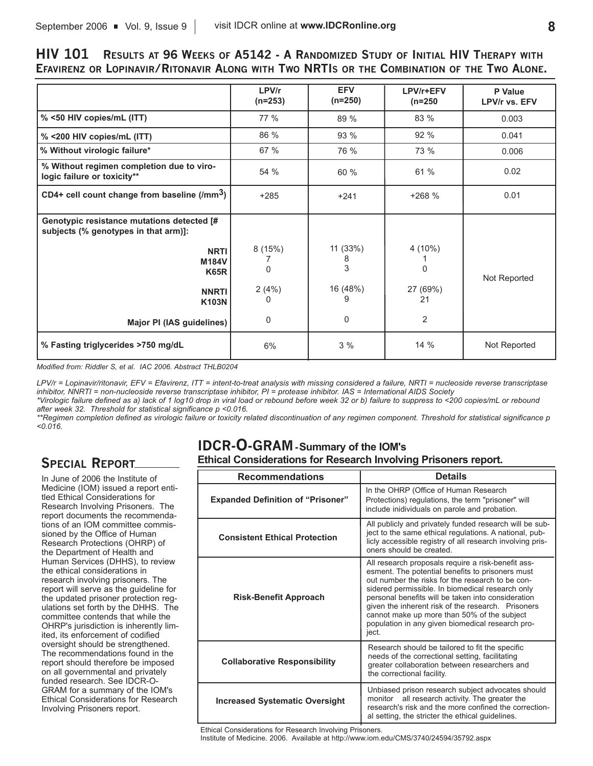## **HIV 101 RESULTS AT 96 WEEKS OF A5142 - A RANDOMIZED STUDY OF INITIAL HIV THERAPY WITH EFAVIRENZ OR LOPINAVIR/RITONAVIR ALONG WITH TWO NRTIS OR THE COMBINATION OF THE TWO ALONE.**

|                                                                                    | LPV/r<br>$(n=253)$ | <b>EFV</b><br>$(n=250)$ | LPV/r+EFV<br>$(n=250)$ | P Value<br>LPV/r vs. EFV |
|------------------------------------------------------------------------------------|--------------------|-------------------------|------------------------|--------------------------|
| % <50 HIV copies/mL (ITT)                                                          | 77 %               | 89 %                    | 83 %                   | 0.003                    |
| % <200 HIV copies/mL (ITT)                                                         | 86 %               | 93 %                    | 92 %                   | 0.041                    |
| % Without virologic failure*                                                       | 67 %               | 76 %                    | 73 %                   | 0.006                    |
| % Without regimen completion due to viro-<br>logic failure or toxicity**           | 54 %               | 60%                     | 61 %                   | 0.02                     |
| CD4+ cell count change from baseline $(lmm3)$                                      | $+285$             | $+241$                  | $+268%$                | 0.01                     |
| Genotypic resistance mutations detected [#<br>subjects (% genotypes in that arm)]: |                    |                         |                        |                          |
| <b>NRTI</b><br>M184V<br><b>K65R</b>                                                | 8(15%)<br>$\Omega$ | 11 (33%)<br>8<br>3      | 4 (10%)<br>$\Omega$    | Not Reported             |
| <b>NNRTI</b><br><b>K103N</b>                                                       | 2(4%)<br>0         | 16 (48%)<br>9           | 27 (69%)<br>21         |                          |
| Major PI (IAS guidelines)                                                          | 0                  | 0                       | 2                      |                          |
| % Fasting triglycerides >750 mg/dL                                                 | 6%                 | 3%                      | 14%                    | Not Reported             |

*Modified from: Riddler S, et al. IAC 2006. Abstract THLB0204*

*LPV/r = Lopinavir/ritonavir, EFV = Efavirenz, ITT = intent-to-treat analysis with missing considered a failure, NRTI = nucleoside reverse transcriptase inhibitor, NNRTI = non-nucleoside reverse transcriptase inhibitor, PI = protease inhibitor. IAS = International AIDS Society \*Virologic failure defined as a) lack of 1 log10 drop in viral load or rebound before week 32 or b) failure to suppress to <200 copies/mL or rebound after week 32. Threshold for statistical significance p <0.016.*

*\*\*Regimen completion defined as virologic failure or toxicity related discontinuation of any regimen component. Threshold for statistical significance p <0.016.*

# **SPECIAL REPORT**

In June of 2006 the Institute of Medicine (IOM) issued a report entitled Ethical Considerations for Research Involving Prisoners. The report documents the recommendations of an IOM committee commissioned by the Office of Human Research Protections (OHRP) of the Department of Health and Human Services (DHHS), to review the ethical considerations in research involving prisoners. The report will serve as the guideline for the updated prisoner protection regulations set forth by the DHHS. The committee contends that while the OHRP's jurisdiction is inherently limited, its enforcement of codified oversight should be strengthened. The recommendations found in the report should therefore be imposed on all governmental and privately funded research. See IDCR-O-GRAM for a summary of the IOM's Ethical Considerations for Research Involving Prisoners report.

# **IDCR-O-GRAM- Summary of the IOM's Ethical Considerations for Research Involving Prisoners report.**

| <b>Recommendations</b>                   | <b>Details</b>                                                                                                                                                                                                                                                                                                                                                                                                                         |  |  |
|------------------------------------------|----------------------------------------------------------------------------------------------------------------------------------------------------------------------------------------------------------------------------------------------------------------------------------------------------------------------------------------------------------------------------------------------------------------------------------------|--|--|
| <b>Expanded Definition of "Prisoner"</b> | In the OHRP (Office of Human Research<br>Protections) regulations, the term "prisoner" will<br>include inidividuals on parole and probation.                                                                                                                                                                                                                                                                                           |  |  |
| <b>Consistent Ethical Protection</b>     | All publicly and privately funded research will be sub-<br>ject to the same ethical regulations. A national, pub-<br>licly accessible registry of all research involving pris-<br>oners should be created                                                                                                                                                                                                                              |  |  |
| <b>Risk-Benefit Approach</b>             | All research proposals require a risk-benefit ass-<br>esment. The potential benefits to prisoners must<br>out number the risks for the research to be con-<br>sidered permissible. In biomedical research only<br>personal benefits will be taken into consideration<br>given the inherent risk of the research. Prisoners<br>cannot make up more than 50% of the subject<br>population in any given biomedical research pro-<br>ject. |  |  |
| <b>Collaborative Responsibility</b>      | Research should be tailored to fit the specific<br>needs of the correctional setting, facilitating<br>greater collaboration between researchers and<br>the correctional facility.                                                                                                                                                                                                                                                      |  |  |
| <b>Increased Systematic Oversight</b>    | Unbiased prison research subject advocates should<br>all research activity. The greater the<br>monitor<br>research's risk and the more confined the correction-<br>al setting, the stricter the ethical guidelines.                                                                                                                                                                                                                    |  |  |

Ethical Considerations for Research Involving Prisoners. Institute of Medicine. 2006. Available at http://www.iom.edu/CMS/3740/24594/35792.aspx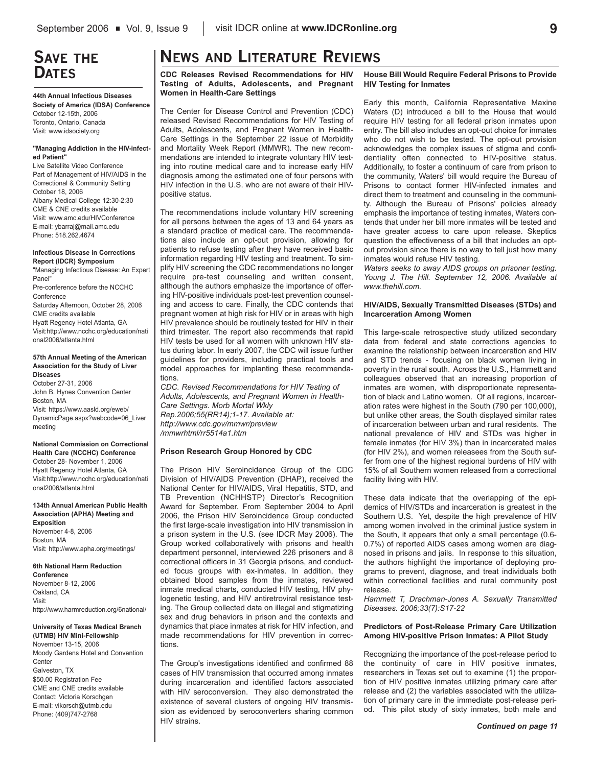# **SAVE THE DATES**

**44th Annual Infectious Diseases Society of America (IDSA) Conference** October 12-15th, 2006 Toronto, Ontario, Canada Visit: www.idsociety.org

#### **"Managing Addiction in the HIV-infected Patient"**

Live Satellite Video Conference Part of Management of HIV/AIDS in the Correctional & Community Setting October 18, 2006 Albany Medical College 12:30-2:30 CME & CNE credits available Visit: www.amc.edu/HIVConference E-mail: ybarraj@mail.amc.edu Phone: 518.262.4674

#### **Infectious Disease in Corrections Report (IDCR) Symposium**

"Managing Infectious Disease: An Expert Panel" Pre-conference before the NCCHC Conference Saturday Afternoon, October 28, 2006 CME credits available Hyatt Regency Hotel Atlanta, GA Visit:http://www.ncchc.org/education/nati onal2006/atlanta.html

#### **57th Annual Meeting of the American Association for the Study of Liver Diseases**

October 27-31, 2006 John B. Hynes Convention Center Boston, MA Visit: https://www.aasld.org/eweb/ DynamicPage.aspx?webcode=06\_Liver meeting

**National Commission on Correctional Health Care (NCCHC) Conference** October 28- November 1, 2006 Hyatt Regency Hotel Atlanta, GA Visit:http://www.ncchc.org/education/nati onal2006/atlanta.html

#### **134th Annual American Public Health Association (APHA) Meeting and Exposition** November 4-8, 2006 Boston, MA Visit: http://www.apha.org/meetings/

#### **6th National Harm Reduction**

**Conference** November 8-12, 2006 Oakland, CA Visit: http://www.harmreduction.org/6national/

### **University of Texas Medical Branch**

**(UTMB) HIV Mini-Fellowship** November 13-15, 2006 Moody Gardens Hotel and Convention **Center** Galveston, TX \$50.00 Registration Fee CME and CNE credits available Contact: Victoria Korschgen E-mail: vikorsch@utmb.edu Phone: (409)747-2768

# **NEWS AND LITERATURE REVIEWS**

**CDC Releases Revised Recommendations for HIV Testing of Adults, Adolescents, and Pregnant Women in Health-Care Settings**

The Center for Disease Control and Prevention (CDC) released Revised Recommendations for HIV Testing of Adults, Adolescents, and Pregnant Women in Health-Care Settings in the September 22 issue of Morbidity and Mortality Week Report (MMWR). The new recommendations are intended to integrate voluntary HIV testing into routine medical care and to increase early HIV diagnosis among the estimated one of four persons with HIV infection in the U.S. who are not aware of their HIVpositive status.

The recommendations include voluntary HIV screening for all persons between the ages of 13 and 64 years as a standard practice of medical care. The recommendations also include an opt-out provision, allowing for patients to refuse testing after they have received basic information regarding HIV testing and treatment. To simplify HIV screening the CDC recommendations no longer require pre-test counseling and written consent, although the authors emphasize the importance of offering HIV-positive individuals post-test prevention counseling and access to care. Finally, the CDC contends that pregnant women at high risk for HIV or in areas with high HIV prevalence should be routinely tested for HIV in their third trimester. The report also recommends that rapid HIV tests be used for all women with unknown HIV status during labor. In early 2007, the CDC will issue further guidelines for providers, including practical tools and model approaches for implanting these recommendations.

*CDC. Revised Recommendations for HIV Testing of Adults, Adolescents, and Pregnant Women in Health-Care Settings. Morb Mortal Wkly Rep.2006;55(RR14);1-17. Available at: http://www.cdc.gov/mmwr/preview /mmwrhtml/rr5514a1.htm*

#### **Prison Research Group Honored by CDC**

The Prison HIV Seroincidence Group of the CDC Division of HIV/AIDS Prevention (DHAP), received the National Center for HIV/AIDS, Viral Hepatitis, STD, and TB Prevention (NCHHSTP) Director's Recognition Award for September. From September 2004 to April 2006, the Prison HIV Seroincidence Group conducted the first large-scale investigation into HIV transmission in a prison system in the U.S. (see IDCR May 2006). The Group worked collaboratively with prisons and health department personnel, interviewed 226 prisoners and 8 correctional officers in 31 Georgia prisons, and conducted focus groups with ex-inmates. In addition, they obtained blood samples from the inmates, reviewed inmate medical charts, conducted HIV testing, HIV phylogenetic testing, and HIV antiretroviral resistance testing. The Group collected data on illegal and stigmatizing sex and drug behaviors in prison and the contexts and dynamics that place inmates at risk for HIV infection, and made recommendations for HIV prevention in corrections.

The Group's investigations identified and confirmed 88 cases of HIV transmission that occurred among inmates during incarceration and identified factors associated with HIV seroconversion. They also demonstrated the existence of several clusters of ongoing HIV transmission as evidenced by seroconverters sharing common HIV strains.

#### **House Bill Would Require Federal Prisons to Provide HIV Testing for Inmates**

Early this month, California Representative Maxine Waters (D) introduced a bill to the House that would require HIV testing for all federal prison inmates upon entry. The bill also includes an opt-out choice for inmates who do not wish to be tested. The opt-out provision acknowledges the complex issues of stigma and confidentiality often connected to HIV-positive status. Additionally, to foster a continuum of care from prison to the community, Waters' bill would require the Bureau of Prisons to contact former HIV-infected inmates and direct them to treatment and counseling in the community. Although the Bureau of Prisons' policies already emphasis the importance of testing inmates, Waters contends that under her bill more inmates will be tested and have greater access to care upon release. Skeptics question the effectiveness of a bill that includes an optout provision since there is no way to tell just how many inmates would refuse HIV testing.

*Waters seeks to sway AIDS groups on prisoner testing. Young J. The Hill. September 12, 2006. Available at www.thehill.com.* 

#### **HIV/AIDS, Sexually Transmitted Diseases (STDs) and Incarceration Among Women**

This large-scale retrospective study utilized secondary data from federal and state corrections agencies to examine the relationship between incarceration and HIV and STD trends - focusing on black women living in poverty in the rural south. Across the U.S., Hammett and colleagues observed that an increasing proportion of inmates are women, with disproportionate representation of black and Latino women. Of all regions, incarceration rates were highest in the South (790 per 100,000), but unlike other areas, the South displayed similar rates of incarceration between urban and rural residents. The national prevalence of HIV and STDs was higher in female inmates (for HIV 3%) than in incarcerated males (for HIV 2%), and women releasees from the South suffer from one of the highest regional burdens of HIV with 15% of all Southern women released from a correctional facility living with HIV.

These data indicate that the overlapping of the epidemics of HIV/STDs and incarceration is greatest in the Southern U.S. Yet, despite the high prevalence of HIV among women involved in the criminal justice system in the South, it appears that only a small percentage (0.6- 0.7%) of reported AIDS cases among women are diagnosed in prisons and jails. In response to this situation, the authors highlight the importance of deploying programs to prevent, diagnose, and treat individuals both within correctional facilities and rural community post release.

*Hammett T, Drachman-Jones A. Sexually Transmitted Diseases. 2006;33(7):S17-22*

#### **Predictors of Post-Release Primary Care Utilization Among HIV-positive Prison Inmates: A Pilot Study**

Recognizing the importance of the post-release period to the continuity of care in HIV positive inmates, researchers in Texas set out to examine (1) the proportion of HIV positive inmates utilizing primary care after release and (2) the variables associated with the utilization of primary care in the immediate post-release period. This pilot study of sixty inmates, both male and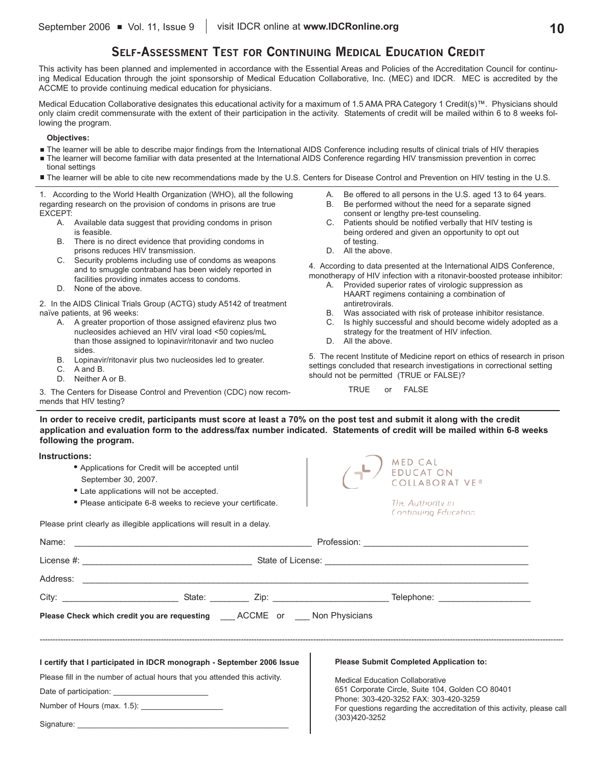### **SELF-ASSESSMENT TEST FOR CONTINUING MEDICAL EDUCATION CREDIT**

This activity has been planned and implemented in accordance with the Essential Areas and Policies of the Accreditation Council for continuing Medical Education through the joint sponsorship of Medical Education Collaborative, Inc. (MEC) and IDCR. MEC is accredited by the ACCME to provide continuing medical education for physicians.

Medical Education Collaborative designates this educational activity for a maximum of 1.5 AMA PRA Category 1 Credit(s)™. Physicians should only claim credit commensurate with the extent of their participation in the activity. Statements of credit will be mailed within 6 to 8 weeks following the program.

### **Objectives:**

- The learner will be able to describe major findings from the International AIDS Conference including results of clinical trials of HIV therapies
- The learner will become familiar with data presented at the International AIDS Conference regarding HIV transmission prevention in correc tional settings
- The learner will be able to cite new recommendations made by the U.S. Centers for Disease Control and Prevention on HIV testing in the U.S.

1. According to the World Health Organization (WHO), all the following regarding research on the provision of condoms in prisons are true EXCEPT:

- A. Available data suggest that providing condoms in prison is feasible.
- B. There is no direct evidence that providing condoms in prisons reduces HIV transmission.
- C. Security problems including use of condoms as weapons and to smuggle contraband has been widely reported in facilities providing inmates access to condoms.
- D. None of the above.

2. In the AIDS Clinical Trials Group (ACTG) study A5142 of treatment naïve patients, at 96 weeks:

- A. A greater proportion of those assigned efavirenz plus two nucleosides achieved an HIV viral load <50 copies/mL than those assigned to lopinavir/ritonavir and two nucleo sides.
- B. Lopinavir/ritonavir plus two nucleosides led to greater.
- C. A and B.
- D. Neither A or B.

3. The Centers for Disease Control and Prevention (CDC) now recommends that HIV testing?

- A. Be offered to all persons in the U.S. aged 13 to 64 years.
- B. Be performed without the need for a separate signed consent or lengthy pre-test counseling.
- C. Patients should be notified verbally that HIV testing is being ordered and given an opportunity to opt out of testing.
- D. All the above.

4. According to data presented at the International AIDS Conference, monotherapy of HIV infection with a ritonavir-boosted protease inhibitor:

- A. Provided superior rates of virologic suppression as HAART regimens containing a combination of antiretrovirals.
- B. Was associated with risk of protease inhibitor resistance.
- C. Is highly successful and should become widely adopted as a strategy for the treatment of HIV infection.
- D. All the above.

5. The recent Institute of Medicine report on ethics of research in prison settings concluded that research investigations in correctional setting should not be permitted (TRUE or FALSE)?

TRUE or FALSE

**In order to receive credit, participants must score at least a 70% on the post test and submit it along with the credit application and evaluation form to the address/fax number indicated. Statements of credit will be mailed within 6-8 weeks following the program.**

#### **Instructions:**

Signature:

- **•** Applications for Credit will be accepted until September 30, 2007.
- **•** Late applications will not be accepted.
- **•** Please anticipate 6-8 weeks to recieve your certificate.

Please print clearly as illegible applications will result in a delay.



Continuing Education

| <b>Please Check which credit you are requesting ACCME or Mon Physicians</b> |                                                                        |  |                                                                                                                                   |  |  |  |  |  |
|-----------------------------------------------------------------------------|------------------------------------------------------------------------|--|-----------------------------------------------------------------------------------------------------------------------------------|--|--|--|--|--|
|                                                                             |                                                                        |  |                                                                                                                                   |  |  |  |  |  |
|                                                                             | I certify that I participated in IDCR monograph - September 2006 Issue |  | <b>Please Submit Completed Application to:</b>                                                                                    |  |  |  |  |  |
| Please fill in the number of actual hours that you attended this activity.  |                                                                        |  | <b>Medical Education Collaborative</b><br>651 Corporate Circle, Suite 104, Golden CO 80401                                        |  |  |  |  |  |
|                                                                             |                                                                        |  |                                                                                                                                   |  |  |  |  |  |
|                                                                             | Number of Hours (max. 1.5): ______________________                     |  | Phone: 303-420-3252 FAX: 303-420-3259<br>For questions regarding the accreditation of this activity, please call<br>(303)420-3252 |  |  |  |  |  |